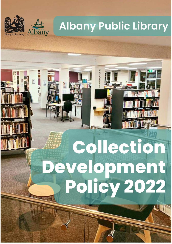

# **Albany Public Library**

# Collection Development<br>Policy 2022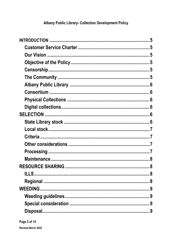# **Albany Public Library- Collection Development Policy**

| <b>RESOURCE SHARING</b> | .8 |
|-------------------------|----|
|                         |    |
|                         |    |
|                         |    |
|                         |    |
|                         |    |
|                         |    |
|                         |    |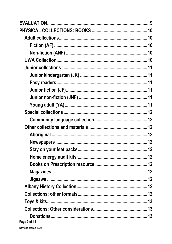| Page 3 of 14 |  |
|--------------|--|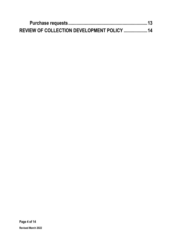| REVIEW OF COLLECTION DEVELOPMENT POLICY  14 |  |
|---------------------------------------------|--|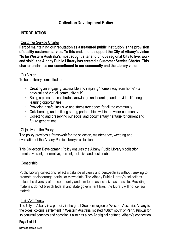# **CollectionDevelopmentPolicy**

#### <span id="page-4-0"></span>**INTRODUCTION**

#### <span id="page-4-1"></span>Customer Service Charter

**Part of maintaining our reputation as a treasured public institution is the provision of quality customer service. To this end, and to support the City of Albany's vision "to be Western Australia's most sought after and unique regional City to live, work and visit", the Albany Public Library has created a Customer Service Charter. This charter enshrines our commitment to our community and the Library vision.**

#### <span id="page-4-2"></span>Our Vision

To be a Library committed to –

- Creating an engaging, accessible and inspiring "home away from home" a physical and virtual 'community hub'.
- Being a place that celebrates knowledge and learning; and provides life-long learning opportunities
- Providing a safe, inclusive and stress free space for all the community
- Collaborating and building strong partnerships within the wider community
- Collecting and preserving our social and documentary heritage for current and future generations.

#### <span id="page-4-3"></span>Objective of the Policy

The policy provides a framework for the selection, maintenance, weeding and evaluation of the Albany Public Library's collection.

This Collection Development Policy ensures the Albany Public Library's collection remains vibrant, informative, current, inclusive and sustainable.

#### <span id="page-4-4"></span>**Censorship**

Public Library collections reflect a balance of views and perspectives without seeking to promote or discourage particular viewpoints. The Albany Public Library's collections reflect the diversity of the community and aim to be as inclusive as possible. Providing materials do not breach federal and state government laws, the Library will not censor material.

#### <span id="page-4-5"></span>The Community

The City of Albany is a port city in the great Southern region of Western Australia. Albany is the oldest colonial settlement in Western Australia, located 408km south of Perth. Known for its beautiful beaches and coastline it also has a rich Aboriginal heritage. Albany's connection

#### **Page 5 of 14**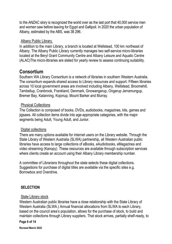to the ANZAC story is recognized the world over as the last port that 40,000 service men and women saw before leaving for Egypt and Gallipoli. In 2020 the urban population of Albany, estimated by the ABS, was 38 296.

#### <span id="page-5-0"></span>Albany Public Library

<span id="page-5-1"></span>In addition to the main Library, a branch is located at Wellstead, 100 km northeast of Albany. The Albany Public Library currently manages two self-service micro-libraries located at the Beryl Grant Community Centre and Albany Leisure and Aquatic Centre (ALAC)The micro-libraries are slated for yearly review to assess continuing suitability.

# **Consortium**

Southern WA Library Consortium is a network of libraries in southern Western Australia. The consortium expands shared access to Library resources and support. Fifteen libraries across 10 local government areas are involved including Albany, Wellstead, Broomehill, Tambellup, Cranbrook, Frankland, Denmark, Gnowangerup, Ongerup Jerramungup, Bremer Bay, Katanning, Kojonup, Mount Barker and Murray.

#### <span id="page-5-2"></span>Physical Collections

The Collection is composed of books, DVDs, audiobooks, magazines, kits, games and jigsaws. All collection items divide into age-appropriate categories, with the major segments being Adult, Young Adult, and Junior.

#### <span id="page-5-3"></span>Digital collections

There are many options available for internet users on the Library website. Through the State Library of Western Australia (SLWA) partnership, all Western Australian public libraries have access to large collections of eBooks, eAudiobooks, eMagazines and video streaming (Kanopy). These resources are available through subscription services where clients create an account using their Albany Library membership number.

A committee of Librarians throughout the state selects these digital collections. Suggestions for purchase of digital titles are available via the specific sites e.g. Borrowbox and Overdrive.

#### <span id="page-5-4"></span>**SELECTION**

#### <span id="page-5-5"></span>State Library stock

Western Australian public libraries have a close relationship with the State Library of Western Australia (SLWA.) Annual financial allocations from SLWA to each Library, based on the council area's population, allows for the purchase of stock, to build and maintain collections through Library suppliers. That stock arrives, partially shelf-ready, to

#### **Page 6 of 14**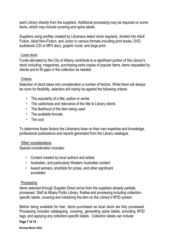each Library directly from the suppliers. Additional processing may be required on some items, which may include covering and spine labels.

Suppliers using profiles created by Librarians select stock regularly, divided into Adult Fiction, Adult Non-Fiction, and Junior in various formats including print books, DVD, audiobook (CD or MP3 disc), graphic novel, and large print.

#### <span id="page-6-0"></span>Local stock

Funds allocated by the City of Albany contribute to a significant portion of the Library's stock including: magazines, purchasing extra copies of popular items, items requested by clients and to fill gaps in the collection as needed.

#### <span id="page-6-1"></span>**Criteria**

Selection of stock takes into consideration a number of factors. While there will always be room for flexibility, selection will mainly be against the following criteria:

- The popularity of a title, author or series
- The usefulness and relevance of the title to Library clients
- The likelihood of the item being used
- The available formats
- The cost

To determine these factors the Librarians draw on their own expertise and knowledge, professional publications and reports generated from the Library catalogue.

#### <span id="page-6-2"></span>Other considerations

Special consideration includes:

- Content created by local authors and artists
- Australian, and particularly Western Australian content
- Award winners, shortlists for prizes, and other significant accolades

#### <span id="page-6-3"></span>Processing

Items selected through Supplier Direct arrive from the suppliers already partially processed. Staff at Albany Public Library finalise end processing including collectionspecific labels, covering and initializing the item on the Library's RFID system.

Before being available for loan, items purchased as local stock are fully processed. Processing includes cataloguing, covering, generating spine labels, encoding RFID tags, and applying any collection-specific labels. Collection labels can include:

#### **Page 7 of 14**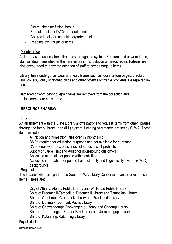- Genre labels for fiction books
- Format labels for DVDs and audiobooks
- Colored labels for junior kindergarten books
- Reading level for junior items

#### <span id="page-7-0"></span>**Maintenance**

All Library staff assess items that pass through the system. For damaged or worn items, staff will determine whether the item remains in circulation or needs repair. Patrons are also encouraged to draw the attention of staff to any damage to items

Library items undergo fair wear and tear. Issues such as loose or torn pages, cracked DVD covers, lightly scratched discs and other potentially fixable problems are repaired inhouse.

Damaged or worn beyond repair items are removed from the collection and replacements are considered.

## <span id="page-7-1"></span>**RESOURCE SHARING**

#### <span id="page-7-2"></span>ILLS

An arrangement with the State Library allows patrons to request items from other libraries through the Inter-Library Loan (ILL) system. Lending parameters are set by SLWA. These items include:

- All fiction and non-fiction titles over 12 months old
- DVDs required for education purposes and not available for purchase
- DVD series where extensiveness of series is cost-prohibitive
- Supply of Large Print and Audio for housebound customers
- Access to materials for people with disabilities
- Access to information for people from culturally and linguistically diverse (CALD) backgrounds

#### <span id="page-7-3"></span>**Regional**

The libraries who form part of the Southern WA Library Consortium can reserve and share items. These are:

- City of Albany: Albany Public Library and Wellstead Public Library
- Shire of Broomehill-Tambellup: Broomehill Library and Tambellup Library
- Shire of Cranbrook: Cranbrook Library and Frankland Library
- Shire of Denmark: Denmark Public Library
- . Shire of Gnowangerup: Gnowangerup Library and Ongerup Library
- Shire of Jerramungup: Bremer Bay Library and Jerramungup Library
- . Shire of Katanning: Katanning Library

#### **Page 8 of 14**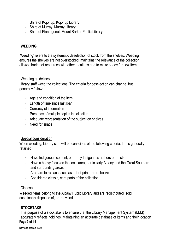- . Shire of Kojonup: Kojonup Library
- Shire of Murray: Murray Library
- Shire of Plantagenet: Mount Barker Public Library

#### <span id="page-8-0"></span>**WEEDING**

'Weeding' refers to the systematic deselection of stock from the shelves. Weeding ensures the shelves are not overstocked, maintains the relevance of the collection, allows sharing of resources with other locations and to make space for new items.

#### <span id="page-8-1"></span>Weeding guidelines

Library staff weed the collections. The criteria for deselection can change, but generally follow:

- Age and condition of the item
- Length of time since last loan
- Currency of information
- Presence of multiple copies in collection
- Adequate representation of the subject on shelves
- Need for space

#### <span id="page-8-2"></span>Special consideration

When weeding, Library staff will be conscious of the following criteria. Items generally retained:

- Have Indigenous content, or are by Indigenous authors or artists
- Have a heavy focus on the local area, particularly Albany and the Great Southern and surrounding areas
- Are hard to replace, such as out-of-print or rare books
- Considered classic, core parts of the collection.

#### <span id="page-8-3"></span>Disposal

Weeded items belong to the Albany Public Library and are redistributed, sold, sustainably disposed of, or recycled.

#### <span id="page-8-4"></span>**STOCKTAKE**

**Page 9 of 14** The purpose of a stocktake is to ensure that the Library Management System (LMS) accurately reflects holdings. Maintaining an accurate database of items and their location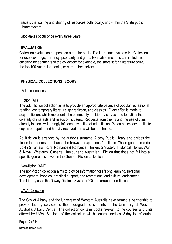assists the loaning and sharing of resources both locally, and within the State public library system**.**

Stocktakes occur once every three years.

#### **EVALUATION**

Collection evaluation happens on a regular basis. The Librarians evaluate the Collection for use, coverage, currency, popularity and gaps. Evaluation methods can include list checking for segments of the collection; for example, the shortlist for a literature prize, the top 100 Australian books, or current bestsellers.

## <span id="page-9-0"></span>**PHYSICAL COLLECTIONS: BOOKS**

#### <span id="page-9-1"></span>Adult collections

#### <span id="page-9-2"></span>Fiction (AF)

The adult fiction collection aims to provide an appropriate balance of popular recreational reading, contemporary literature, genre fiction, and classics. Every effort is made to acquire fiction, which represents the community the Library serves, and to satisfy the diversity of interests and needs of its users. Requests from clients and the use of titles already in stock will strongly influence selection of adult fiction. When necessary duplicate copies of popular and heavily reserved items will be purchased.

Adult fiction is arranged by the author's surname. Albany Public Library also divides the fiction into genres to enhance the browsing experience for clients. These genres include Sci-Fi & Fantasy, Rural Romance & Romance, Thrillers & Mystery, Historical, Horror, War & Naval, Westerns, Classics, Humour and Australian. Fiction that does not fall into a specific genre is shelved in the General Fiction collection.

#### <span id="page-9-3"></span>Non-fiction (ANF)

The non-fiction collection aims to provide information for lifelong learning, personal development, hobbies, practical support, and recreational and cultural enrichment. The Library uses the Dewey Decimal System (DDC) to arrange non-fiction.

#### <span id="page-9-4"></span>UWA Collection

The City of Albany and the University of Western Australia have formed a partnership to provide Library services to the undergraduate students of the University of Western Australia, Albany Centre. The collection contains books relevant to the courses and units offered by UWA. Sections of the collection will be quarantined as '3-day loans' during

#### **Page 10 of 14**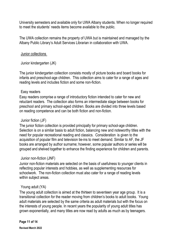University semesters and available only for UWA Albany students. When no longer required to meet the students' needs items become available to the public.

The UWA collection remains the property of UWA but is maintained and managed by the Albany Public Library's Adult Services Librarian in collaboration with UWA.

#### <span id="page-10-0"></span>Junior collections

<span id="page-10-1"></span>Junior kindergarten (JK)

The junior kindergarten collection consists mostly of picture books and board books for infants and preschool-age children. This collection aims to cater for a range of ages and reading levels and includes fiction and some non-fiction.

#### <span id="page-10-2"></span>Easy readers

Easy readers comprise a range of introductory fiction intended to cater for new and reluctant readers. The collection also forms an intermediate stage between books for preschool and primary school-aged children. Books are divided into three levels based on reading competence and can be both fiction and non-fiction.

#### <span id="page-10-3"></span>Junior fiction (JF)

The junior fiction collection is provided principally for primary school-age children. Selection is on a similar basis to adult fiction, balancing new and noteworthy titles with the need for popular recreational reading and classics. Consideration is given to the acquisition of popular film and television tie-ins to meet demand. Similar to AF, the JF books are arranged by author surname; however, some popular authors or series will be grouped and shelved together to enhance the finding experience for children and parents.

#### <span id="page-10-4"></span>Junior non-fiction (JNF)

Junior non-fiction materials are selected on the basis of usefulness to younger clients in reflecting popular interests and hobbies, as well as supplementing resources for schoolwork. The non-fiction collection must also cater for a range of reading levels within subject areas.

#### <span id="page-10-5"></span>Young adult (YA)

The young adult collection is aimed at the thirteen to seventeen year age group. It is a transitional collection for the reader moving from children's books to adult books. Young adult materials are selected by the same criteria as adult materials but with the focus on the interests of young people. In recent years the popularity of young adult titles has grown exponentially, and many titles are now read by adults as much as by teenagers.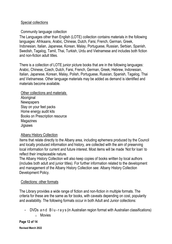#### <span id="page-11-0"></span>Special collections

#### <span id="page-11-1"></span>Community language collection

The Languages other than English (LOTE) collection contains materials in the following languages: Afrikaans, Arabic, Chinese, Dutch, Farsi, French, German, Greek, Indonesian, Italian, Japanese, Korean, Malay, Portuguese, Russian, Serbian, Spanish, Swedish, Tagalog, Tamil, Thai, Turkish, Urdu and Vietnamese and includes both fiction and non-fiction adult titles.

There is a collection of LOTE junior picture books that are in the following languages: Arabic, Chinese, Czech, Dutch, Farsi, French, German, Greek, Hebrew, Indonesian, Italian, Japanese, Korean, Malay, Polish, Portuguese, Russian, Spanish, Tagalog, Thai and Vietnamese. Other language materials may be added as demand is identified and materials become available.

<span id="page-11-6"></span><span id="page-11-5"></span><span id="page-11-4"></span><span id="page-11-3"></span><span id="page-11-2"></span>Other collections and materials **Aboriginal Newspapers** Stay on your feet packs Home energy audit kits Books on Prescription resource Magazines **Jigsaws** 

#### <span id="page-11-10"></span><span id="page-11-9"></span><span id="page-11-8"></span><span id="page-11-7"></span>Albany History Collection

Items that relate directly to the Albany area, including ephemera produced by the Council and locally produced information and history, are collected with the aim of preserving local information for current and future interest. Most items will be made 'Not for loan' to reflect their irreplaceable nature.

The Albany History Collection will also keep copies of books written by local authors (includes both adult and junior titles). For further information related to the development and management of the Albany History Collection see: Albany History Collection Development Policy.

#### <span id="page-11-11"></span>Collections: other formats

The Library provides a wide range of fiction and non-fiction in multiple formats. The criteria for these are the same as for books, with caveats depending on cost, popularity and availability. The following formats occur in both Adult and Junior collections:

- DVDs and B lu-rays (in Australian region format with Australian classifications)
	- o Movies

**Page 12 of 14**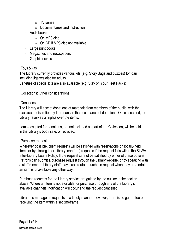- o TV series
- $\circ$  Documentaries and instruction
- Audiobooks
	- $\circ$  On MP3 disc
	- $\circ$  On CD if MP3 disc not available.
- Large print books
- Magazines and newspapers
- Graphic novels

#### <span id="page-12-0"></span>Toys & kits

The Library currently provides various kits (e.g. Story Bags and puzzles) for loan including jigsaws also for adults.

Varieties of special kits are also available (e.g. Stay on Your Feet Packs)

#### <span id="page-12-1"></span>Collections: Other considerations

#### <span id="page-12-2"></span>**Donations**

The Library will accept donations of materials from members of the public, with the exercise of discretion by Librarians in the acceptance of donations. Once accepted, the Library reserves all rights over the items.

Items accepted for donations, but not included as part of the Collection, will be sold in the Library's book sale, or recycled.

#### <span id="page-12-3"></span>Purchase requests

Wherever possible, client requests will be satisfied with reservations on locally-held items or by placing inter-Library loan (ILL) requests if the request falls within the SLWA Inter-Library Loans Policy. If the request cannot be satisfied by either of these options. Patrons can submit a purchase request through the Library website, or by speaking with a staff member. Library staff may also create a purchase request when they are certain an item is unavailable any other way.

Purchase requests for the Library service are guided by the outline in the section above. Where an item is not available for purchase through any of the Library's available channels, notification will occur and the request cancelled.

Librarians manage all requests in a timely manner; however, there is no guarantee of receiving the item within a set timeframe.